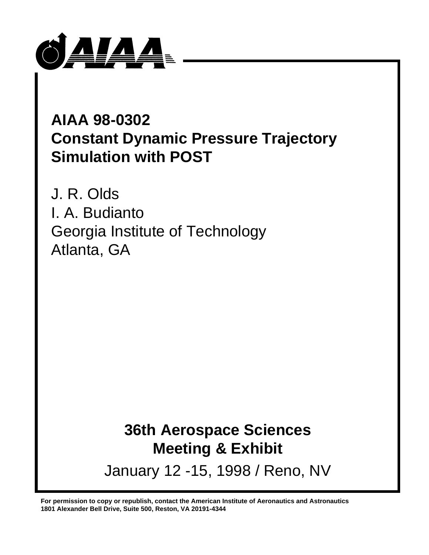

# **AIAA 98-0302 Constant Dynamic Pressure Trajectory Simulation with POST**

J. R. Olds I. A. Budianto Georgia Institute of Technology Atlanta, GA

# **36th Aerospace Sciences Meeting & Exhibit**

January 12 -15, 1998 / Reno, NV

**For permission to copy or republish, contact the American Institute of Aeronautics and Astronautics 1801 Alexander Bell Drive, Suite 500, Reston, VA 20191-4344**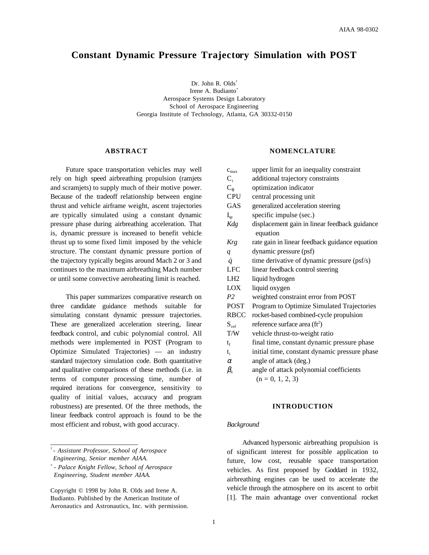# **Constant Dynamic Pressure Trajectory Simulation with POST**

Dr. John R. Olds† Irene A. Budianto<sup>\*</sup> Aerospace Systems Design Laboratory School of Aerospace Engineering Georgia Institute of Technology, Atlanta, GA 30332-0150

# **ABSTRACT**

Future space transportation vehicles may well rely on high speed airbreathing propulsion (ramjets and scramjets) to supply much of their motive power. Because of the tradeoff relationship between engine thrust and vehicle airframe weight, ascent trajectories are typically simulated using a constant dynamic pressure phase during airbreathing acceleration. That is, dynamic pressure is increased to benefit vehicle thrust up to some fixed limit imposed by the vehicle structure. The constant dynamic pressure portion of the trajectory typically begins around Mach 2 or 3 and continues to the maximum airbreathing Mach number or until some convective aeroheating limit is reached.

This paper summarizes comparative research on three candidate guidance methods suitable for simulating constant dynamic pressure trajectories. These are generalized acceleration steering, linear feedback control, and cubic polynomial control. All methods were implemented in POST (Program to Optimize Simulated Trajectories) — an industry standard trajectory simulation code. Both quantitative and qualitative comparisons of these methods (i.e. in terms of computer processing time, number of required iterations for convergence, sensitivity to quality of initial values, accuracy and program robustness) are presented. Of the three methods, the linear feedback control approach is found to be the most efficient and robust, with good accuracy.

*† - Assistant Professor, School of Aerospace Engineering, Senior member AIAA.*

\_\_\_\_\_\_\_\_\_\_\_\_\_\_\_\_\_\_\_\_\_\_\_\_\_

*\* - Palace Knight Fellow, School of Aerospace Engineering, Student member AIAA.*

Copyright © 1998 by John R. Olds and Irene A. Budianto. Published by the American Institute of Aeronautics and Astronautics, Inc. with permission.

#### **NOMENCLATURE**

| $C_{max}$       | upper limit for an inequality constraint       |
|-----------------|------------------------------------------------|
| $C_i$           | additional trajectory constraints              |
| $C_{\theta}$    | optimization indicator                         |
| <b>CPU</b>      | central processing unit                        |
| GAS.            | generalized acceleration steering              |
| $I_{sp}$        | specific impulse (sec.)                        |
| Kdg             | displacement gain in linear feedback guidance  |
|                 | equation                                       |
| Krg             | rate gain in linear feedback guidance equation |
| q               | dynamic pressure (psf)                         |
| $\dot{q}$       | time derivative of dynamic pressure (psf/s)    |
| <b>LFC</b>      | linear feedback control steering               |
| LH <sub>2</sub> | liquid hydrogen                                |
| LOX             | liquid oxygen                                  |
| P <sub>2</sub>  | weighted constraint error from POST            |
| POST            | Program to Optimize Simulated Trajectories     |
| <b>RBCC</b>     | rocket-based combined-cycle propulsion         |
| $S_{ref}$       | reference surface area $(\text{ft}^2)$         |
| T/W             | vehicle thrust-to-weight ratio                 |
| $t_{\rm f}$     | final time, constant dynamic pressure phase    |
| $t_i$           | initial time, constant dynamic pressure phase  |
| α               | angle of attack (deg.)                         |
| $\beta_n$       | angle of attack polynomial coefficients        |
|                 | $(n = 0, 1, 2, 3)$                             |

### **INTRODUCTION**

#### *Background*

Advanced hypersonic airbreathing propulsion is of significant interest for possible application to future, low cost, reusable space transportation vehicles. As first proposed by Goddard in 1932, airbreathing engines can be used to accelerate the vehicle through the atmosphere on its ascent to orbit [1]. The main advantage over conventional rocket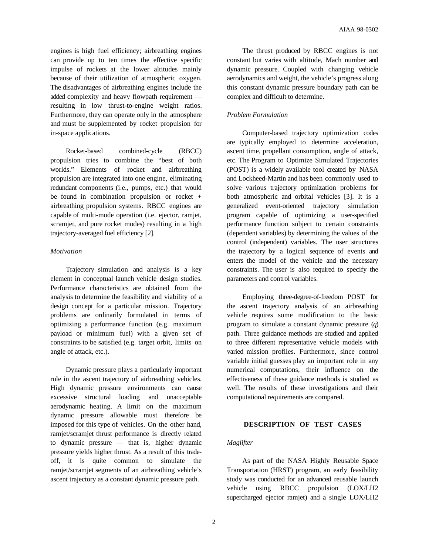engines is high fuel efficiency; airbreathing engines can provide up to ten times the effective specific impulse of rockets at the lower altitudes mainly because of their utilization of atmospheric oxygen. The disadvantages of airbreathing engines include the added complexity and heavy flowpath requirement resulting in low thrust-to-engine weight ratios. Furthermore, they can operate only in the atmosphere and must be supplemented by rocket propulsion for in-space applications.

Rocket-based combined-cycle (RBCC) propulsion tries to combine the "best of both worlds." Elements of rocket and airbreathing propulsion are integrated into one engine, eliminating redundant components (i.e., pumps, etc.) that would be found in combination propulsion or rocket + airbreathing propulsion systems. RBCC engines are capable of multi-mode operation (i.e. ejector, ramjet, scramjet, and pure rocket modes) resulting in a high trajectory-averaged fuel efficiency [2].

#### *Motivation*

Trajectory simulation and analysis is a key element in conceptual launch vehicle design studies. Performance characteristics are obtained from the analysis to determine the feasibility and viability of a design concept for a particular mission. Trajectory problems are ordinarily formulated in terms of optimizing a performance function (e.g. maximum payload or minimum fuel) with a given set of constraints to be satisfied (e.g. target orbit, limits on angle of attack, etc.).

Dynamic pressure plays a particularly important role in the ascent trajectory of airbreathing vehicles. High dynamic pressure environments can cause excessive structural loading and unacceptable aerodynamic heating. A limit on the maximum dynamic pressure allowable must therefore be imposed for this type of vehicles. On the other hand, ramjet/scramjet thrust performance is directly related to dynamic pressure — that is, higher dynamic pressure yields higher thrust. As a result of this tradeoff, it is quite common to simulate the ramjet/scramjet segments of an airbreathing vehicle's ascent trajectory as a constant dynamic pressure path.

The thrust produced by RBCC engines is not constant but varies with altitude, Mach number and dynamic pressure. Coupled with changing vehicle aerodynamics and weight, the vehicle's progress along this constant dynamic pressure boundary path can be complex and difficult to determine.

# *Problem Formulation*

Computer-based trajectory optimization codes are typically employed to determine acceleration, ascent time, propellant consumption, angle of attack, etc. The Program to Optimize Simulated Trajectories (POST) is a widely available tool created by NASA and Lockheed-Martin and has been commonly used to solve various trajectory optimization problems for both atmospheric and orbital vehicles [3]. It is a generalized event-oriented trajectory simulation program capable of optimizing a user-specified performance function subject to certain constraints (dependent variables) by determining the values of the control (independent) variables. The user structures the trajectory by a logical sequence of events and enters the model of the vehicle and the necessary constraints. The user is also required to specify the parameters and control variables.

Employing three-degree-of-freedom POST for the ascent trajectory analysis of an airbreathing vehicle requires some modification to the basic program to simulate a constant dynamic pressure (*q*) path. Three guidance methods are studied and applied to three different representative vehicle models with varied mission profiles. Furthermore, since control variable initial guesses play an important role in any numerical computations, their influence on the effectiveness of these guidance methods is studied as well. The results of these investigations and their computational requirements are compared.

# **DESCRIPTION OF TEST CASES**

# *Maglifter*

As part of the NASA Highly Reusable Space Transportation (HRST) program, an early feasibility study was conducted for an advanced reusable launch vehicle using RBCC propulsion (LOX/LH2 supercharged ejector ramjet) and a single LOX/LH2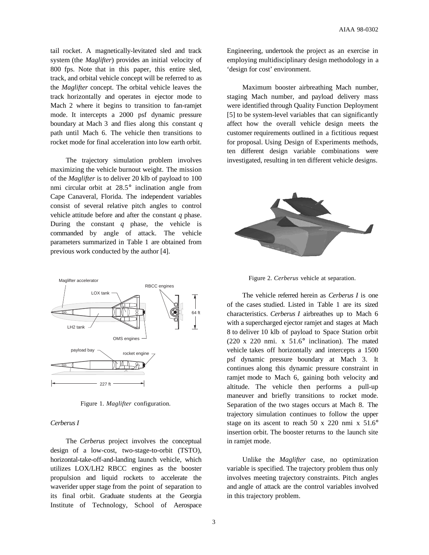tail rocket. A magnetically-levitated sled and track system (the *Maglifter*) provides an initial velocity of 800 fps. Note that in this paper, this entire sled, track, and orbital vehicle concept will be referred to as the *Maglifter* concept. The orbital vehicle leaves the track horizontally and operates in ejector mode to Mach 2 where it begins to transition to fan-ramjet mode. It intercepts a 2000 psf dynamic pressure boundary at Mach 3 and flies along this constant *q* path until Mach 6. The vehicle then transitions to rocket mode for final acceleration into low earth orbit.

The trajectory simulation problem involves maximizing the vehicle burnout weight. The mission of the *Maglifter* is to deliver 20 klb of payload to 100 nmi circular orbit at 28.5° inclination angle from Cape Canaveral, Florida. The independent variables consist of several relative pitch angles to control vehicle attitude before and after the constant *q* phase. During the constant *q* phase, the vehicle is commanded by angle of attack. The vehicle parameters summarized in Table 1 are obtained from previous work conducted by the author [4].



Figure 1. *Maglifter* configuration*.*

# *Cerberus I*

The *Cerberus* project involves the conceptual design of a low-cost, two-stage-to-orbit (TSTO), horizontal-take-off-and-landing launch vehicle, which utilizes LOX/LH2 RBCC engines as the booster propulsion and liquid rockets to accelerate the waverider upper stage from the point of separation to its final orbit. Graduate students at the Georgia Institute of Technology, School of Aerospace

Engineering, undertook the project as an exercise in employing multidisciplinary design methodology in a 'design for cost' environment.

Maximum booster airbreathing Mach number, staging Mach number, and payload delivery mass were identified through Quality Function Deployment [5] to be system-level variables that can significantly affect how the overall vehicle design meets the customer requirements outlined in a fictitious request for proposal. Using Design of Experiments methods, ten different design variable combinations were investigated, resulting in ten different vehicle designs.



Figure 2. *Cerberus* vehicle at separation.

The vehicle referred herein as *Cerberus I* is one of the cases studied. Listed in Table 1 are its sized characteristics. *Cerberus I* airbreathes up to Mach 6 with a supercharged ejector ramjet and stages at Mach 8 to deliver 10 klb of payload to Space Station orbit (220 x 220 nmi. x 51.6° inclination). The mated vehicle takes off horizontally and intercepts a 1500 psf dynamic pressure boundary at Mach 3. It continues along this dynamic pressure constraint in ramjet mode to Mach 6, gaining both velocity and altitude. The vehicle then performs a pull-up maneuver and briefly transitions to rocket mode. Separation of the two stages occurs at Mach 8. The trajectory simulation continues to follow the upper stage on its ascent to reach 50 x 220 nmi x  $51.6^\circ$ insertion orbit. The booster returns to the launch site in ramjet mode.

Unlike the *Maglifter* case, no optimization variable is specified. The trajectory problem thus only involves meeting trajectory constraints. Pitch angles and angle of attack are the control variables involved in this trajectory problem.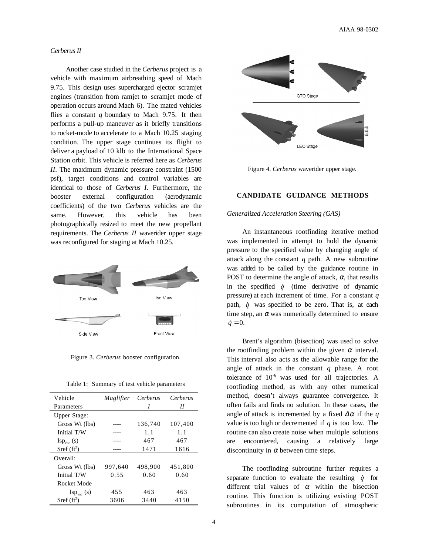#### *Cerberus II*

Another case studied in the *Cerberus* project is a vehicle with maximum airbreathing speed of Mach 9.75. This design uses supercharged ejector scramjet engines (transition from ramjet to scramjet mode of operation occurs around Mach 6). The mated vehicles flies a constant *q* boundary to Mach 9.75. It then performs a pull-up maneuver as it briefly transitions to rocket-mode to accelerate to a Mach 10.25 staging condition. The upper stage continues its flight to deliver a payload of 10 klb to the International Space Station orbit. This vehicle is referred here as *Cerberus II*. The maximum dynamic pressure constraint (1500 psf), target conditions and control variables are identical to those of *Cerberus I*. Furthermore, the booster external configuration (aerodynamic coefficients) of the two *Cerberus* vehicles are the same. However, this vehicle has been photographically resized to meet the new propellant requirements. The *Cerberus II* waverider upper stage was reconfigured for staging at Mach 10.25.



Figure 3. *Cerberus* booster configuration.

|  |  |  |  | Table 1: Summary of test vehicle parameters |
|--|--|--|--|---------------------------------------------|
|--|--|--|--|---------------------------------------------|

| Vehicle                              | Maglifter | Cerberus | Cerberus |  |
|--------------------------------------|-----------|----------|----------|--|
| Parameters                           |           |          | Н        |  |
| <b>Upper Stage:</b>                  |           |          |          |  |
| Gross Wt (lbs)                       |           | 136,740  | 107,400  |  |
| Initial T/W                          |           | 1.1      | 1.1      |  |
| $\text{Isp}_{\text{vac}}\text{ (s)}$ |           | 467      | 467      |  |
| Sref $(ft^2)$                        |           | 1471     | 1616     |  |
| Overall:                             |           |          |          |  |
| Gross Wt (lbs)                       | 997.640   | 498,900  | 451,800  |  |
| Initial T/W                          | 0.55      | 0.60     | 0.60     |  |
| Rocket Mode                          |           |          |          |  |
| $\text{Isp}_{\text{vac}}\text{ (s)}$ | 455       | 463      | 463      |  |
| Sref $(ft^2)$                        | 3606      | 3440     | 4150     |  |



Figure 4. *Cerberus* waverider upper stage.

#### **CANDIDATE GUIDANCE METHODS**

#### *Generalized Acceleration Steering (GAS)*

An instantaneous rootfinding iterative method was implemented in attempt to hold the dynamic pressure to the specified value by changing angle of attack along the constant *q* path. A new subroutine was added to be called by the guidance routine in POST to determine the angle of attack,  $\alpha$ , that results in the specified  $\dot{q}$  (time derivative of dynamic pressure) at each increment of time. For a constant *q* path,  $\dot{q}$  was specified to be zero. That is, at each time step, an  $\alpha$  was numerically determined to ensure  $\dot{q} = 0.$ 

Brent's algorithm (bisection) was used to solve the rootfinding problem within the given  $\alpha$  interval. This interval also acts as the allowable range for the angle of attack in the constant *q* phase. A root tolerance of 10-6 was used for all trajectories. A rootfinding method, as with any other numerical method, doesn't always guarantee convergence. It often fails and finds no solution. In these cases, the angle of attack is incremented by a fixed  $\Delta \alpha$  if the *q* value is too high or decremented if *q* is too low. The routine can also create noise when multiple solutions are encountered, causing a relatively large discontinuity in  $\alpha$  between time steps.

The rootfinding subroutine further requires a separate function to evaluate the resulting  $\dot{q}$  for different trial values of  $\alpha$  within the bisection routine. This function is utilizing existing POST subroutines in its computation of atmospheric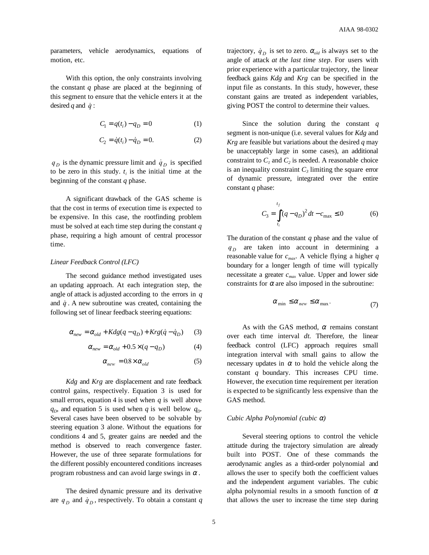parameters, vehicle aerodynamics, equations of motion, etc.

With this option, the only constraints involving the constant *q* phase are placed at the beginning of this segment to ensure that the vehicle enters it at the desired  $q$  and  $\dot{q}$ :

$$
C_1 = q(t_i) - q_D = 0 \tag{1}
$$

$$
C_2 = \dot{q}(t_i) - \dot{q}_D = 0.
$$
 (2)

 $q_D$  is the dynamic pressure limit and  $\dot{q}_D$  is specified to be zero in this study.  $t_i$  is the initial time at the beginning of the constant *q* phase.

A significant drawback of the GAS scheme is that the cost in terms of execution time is expected to be expensive. In this case, the rootfinding problem must be solved at each time step during the constant *q* phase, requiring a high amount of central processor time.

#### *Linear Feedback Control (LFC)*

The second guidance method investigated uses an updating approach. At each integration step, the angle of attack is adjusted according to the errors in *q* and  $\dot{q}$ . A new subroutine was created, containing the following set of linear feedback steering equations:

$$
\alpha_{new} = \alpha_{old} + Kdg(q - q_D) + Krg(\dot{q} - \dot{q}_D) \tag{3}
$$

$$
\alpha_{new} = \alpha_{old} + 0.5 \times (q - q_D) \tag{4}
$$

$$
\alpha_{new} = 0.8 \times \alpha_{old} \tag{5}
$$

*Kdg* and *Krg* are displacement and rate feedback control gains, respectively. Equation 3 is used for small errors, equation 4 is used when *q* is well above  $q<sub>D</sub>$ , and equation 5 is used when *q* is well below  $q<sub>D</sub>$ . Several cases have been observed to be solvable by steering equation 3 alone. Without the equations for conditions 4 and 5, greater gains are needed and the method is observed to reach convergence faster. However, the use of three separate formulations for the different possibly encountered conditions increases program robustness and can avoid large swings in  $\alpha$ .

The desired dynamic pressure and its derivative are  $q_D$  and  $\dot{q}_D$ , respectively. To obtain a constant  $q$  trajectory,  $\dot{q}_D$  is set to zero.  $\alpha_{\text{old}}$  is always set to the angle of attack *at the last time step*. For users with prior experience with a particular trajectory, the linear feedback gains *Kdg* and *Krg* can be specified in the input file as constants. In this study, however, these constant gains are treated as independent variables, giving POST the control to determine their values.

Since the solution during the constant *q* segment is non-unique (i.e. several values for *Kdg* and *Krg* are feasible but variations about the desired *q* may be unacceptably large in some cases), an additional constraint to  $C_1$  and  $C_2$  is needed. A reasonable choice is an inequality constraint  $C_3$  limiting the square error of dynamic pressure, integrated over the entire constant *q* phase:

$$
C_3 = \int_{t_i}^{t_f} (q - q_D)^2 dt - c_{\text{max}} \le 0
$$
 (6)

The duration of the constant *q* phase and the value of  $q_D$  are taken into account in determining a reasonable value for *cmax*. A vehicle flying a higher *q* boundary for a longer length of time will typically necessitate a greater  $c_{max}$  value. Upper and lower side constraints for  $\alpha$  are also imposed in the subroutine:

$$
\alpha_{\min} \le \alpha_{\text{new}} \le \alpha_{\max}.\tag{7}
$$

As with the GAS method,  $\alpha$  remains constant over each time interval *dt.* Therefore, the linear feedback control (LFC) approach requires small integration interval with small gains to allow the necessary updates in  $\alpha$  to hold the vehicle along the constant *q* boundary. This increases CPU time. However, the execution time requirement per iteration is expected to be significantly less expensive than the GAS method.

#### *Cubic Alpha Polynomial (cubic* α*)*

Several steering options to control the vehicle attitude during the trajectory simulation are already built into POST. One of these commands the aerodynamic angles as a third-order polynomial and allows the user to specify both the coefficient values and the independent argument variables. The cubic alpha polynomial results in a smooth function of  $\alpha$ that allows the user to increase the time step during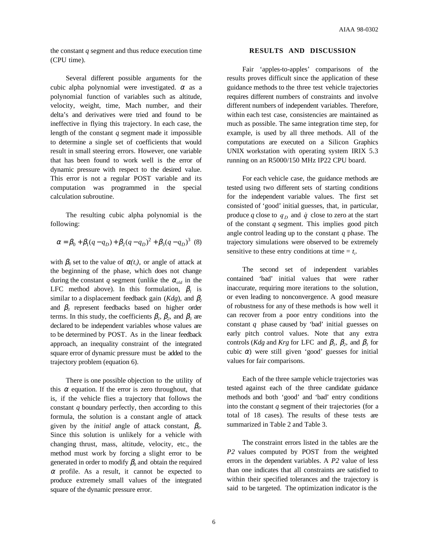the constant *q* segment and thus reduce execution time (CPU time).

Several different possible arguments for the cubic alpha polynomial were investigated.  $\alpha$  as a polynomial function of variables such as altitude, velocity, weight, time, Mach number, and their delta's and derivatives were tried and found to be ineffective in flying this trajectory. In each case, the length of the constant *q* segment made it impossible to determine a single set of coefficients that would result in small steering errors. However, one variable that has been found to work well is the error of dynamic pressure with respect to the desired value. This error is not a regular POST variable and its computation was programmed in the special calculation subroutine.

The resulting cubic alpha polynomial is the following:

$$
\alpha = \beta_0 + \beta_1(q - q_D) + \beta_2(q - q_D)^2 + \beta_3(q - q_D)^3
$$
 (8)

with  $\beta_0$  set to the value of  $\alpha(t_i)$ , or angle of attack at the beginning of the phase, which does not change during the constant *q* segment (unlike the  $\alpha_{old}$  in the LFC method above). In this formulation,  $\beta_l$  is similar to a displacement feedback gain ( $Kdg$ ), and  $\beta$ <sub>2</sub> and  $\beta$ <sub>3</sub> represent feedbacks based on higher order terms. In this study, the coefficients  $\beta_1$ ,  $\beta_2$ , and  $\beta_3$  are declared to be independent variables whose values are to be determined by POST. As in the linear feedback approach, an inequality constraint of the integrated square error of dynamic pressure must be added to the trajectory problem (equation 6).

There is one possible objection to the utility of this  $\alpha$  equation. If the error is zero throughout, that is, if the vehicle flies a trajectory that follows the constant *q* boundary perfectly, then according to this formula, the solution is a constant angle of attack given by the *initial* angle of attack constant, β*0*. Since this solution is unlikely for a vehicle with changing thrust, mass, altitude, velocity, etc., the method must work by forcing a slight error to be generated in order to modify  $\beta_0$  and obtain the required  $\alpha$  profile. As a result, it cannot be expected to produce extremely small values of the integrated square of the dynamic pressure error.

# **RESULTS AND DISCUSSION**

Fair 'apples-to-apples' comparisons of the results proves difficult since the application of these guidance methods to the three test vehicle trajectories requires different numbers of constraints and involve different numbers of independent variables. Therefore, within each test case, consistencies are maintained as much as possible. The same integration time step, for example, is used by all three methods. All of the computations are executed on a Silicon Graphics UNIX workstation with operating system IRIX 5.3 running on an R5000/150 MHz IP22 CPU board.

For each vehicle case, the guidance methods are tested using two different sets of starting conditions for the independent variable values. The first set consisted of 'good' initial guesses, that, in particular, produce *q* close to  $q<sub>D</sub>$  and  $\dot{q}$  close to zero at the start of the constant *q* segment. This implies good pitch angle control leading up to the constant *q* phase. The trajectory simulations were observed to be extremely sensitive to these entry conditions at time  $= t_i$ .

The second set of independent variables contained 'bad' initial values that were rather inaccurate, requiring more iterations to the solution, or even leading to nonconvergence. A good measure of robustness for any of these methods is how well it can recover from a poor entry conditions into the constant *q* phase caused by 'bad' initial guesses on early pitch control values. Note that any extra controls (*Kdg* and *Krg* for LFC and  $\beta_1$ ,  $\beta_2$ , and  $\beta_3$  for cubic  $\alpha$ ) were still given 'good' guesses for initial values for fair comparisons.

Each of the three sample vehicle trajectories was tested against each of the three candidate guidance methods and both 'good' and 'bad' entry conditions into the constant *q* segment of their trajectories (for a total of 18 cases). The results of these tests are summarized in Table 2 and Table 3.

The constraint errors listed in the tables are the *P2* values computed by POST from the weighted errors in the dependent variables. A *P2* value of less than one indicates that all constraints are satisfied to within their specified tolerances and the trajectory is said to be targeted. The optimization indicator is the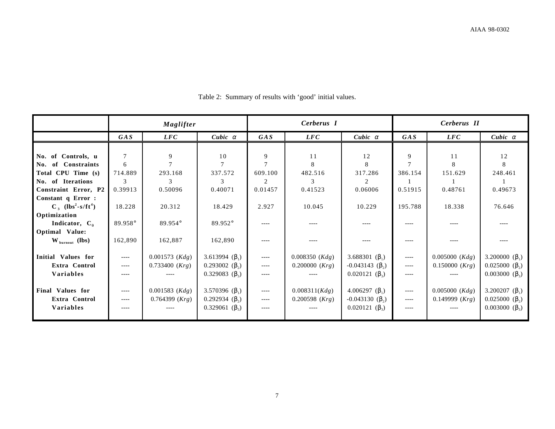|                                              | Maglifter     |                  |                      | Cerberus I     |                           |                                      | Cerberus II |                    |                                     |
|----------------------------------------------|---------------|------------------|----------------------|----------------|---------------------------|--------------------------------------|-------------|--------------------|-------------------------------------|
|                                              | GAS           | LFC              | Cubic $\alpha$       | GA S           | LFC                       | Cubic $\alpha$                       | GA S        | LFC                | Cubic $\alpha$                      |
|                                              |               |                  |                      |                |                           |                                      |             |                    |                                     |
| No. of Controls, u                           | 7             | 9                | 10                   | 9              | 11                        | 12                                   | 9           | 11                 | 12                                  |
| No. of Constraints                           | 6             |                  | 7                    |                | 8                         | 8                                    |             | 8                  | 8                                   |
| Total CPU Time (s)                           | 714.889       | 293.168          | 337.572              | 609.100        | 482.516                   | 317.286                              | 386.154     | 151.629            | 248.461                             |
| No. of Iterations                            | $\mathcal{F}$ | 3                | 3                    | $\overline{2}$ | 3                         | $\overline{c}$                       |             |                    |                                     |
| Constraint Error, P2                         | 0.39913       | 0.50096          | 0.40071              | 0.01457        | 0.41523                   | 0.06006                              | 0.51915     | 0.48761            | 0.49673                             |
| Constant q Error:                            |               |                  |                      |                |                           |                                      |             |                    |                                     |
| $C_3$ (lbs <sup>2</sup> -s/ft <sup>4</sup> ) | 18.228        | 20.312           | 18.429               | 2.927          | 10.045                    | 10.229                               | 195.788     | 18.338             | 76.646                              |
| Optimization                                 |               |                  |                      |                |                           |                                      |             |                    |                                     |
| Indicator, $C_{\alpha}$                      | 89.958°       | 89.954°          | 89.952°              | ----           | ----                      | ----                                 |             |                    |                                     |
| Optimal Value:                               |               |                  |                      |                |                           |                                      |             |                    |                                     |
| $W_{\text{burnout}}$ (lbs)                   | 162,890       | 162,887          | 162,890              | ----           | ----                      | ----                                 | $---$       | ----               |                                     |
|                                              |               |                  |                      |                |                           |                                      |             |                    |                                     |
| Initial Values for                           | $---$         | $0.001573$ (Kdg) | 3.613994 $(\beta_1)$ | $--- -$        | $0.008350$ ( <i>Kdg</i> ) | 3.688301 $(\beta_1)$                 | $--- -$     | 0.005000~(Kdg)     | 3.200000 $(\beta_1)$                |
| Extra Control                                | $---$         | $0.733400$ (Krg) | 0.293002 $(\beta_2)$ | $--- -$        | $0.200000$ $(Krg)$        | $-0.043143$ ( $\beta$ <sub>2</sub> ) | $---$       | $0.150000$ $(Krg)$ | $0.025000$ ( $\beta$ <sub>2</sub> ) |
| Variables                                    | $---$         | ----             | 0.329083 $(\beta_3)$ | $--- -$        | $--- -$                   | 0.020121 $(\beta_3)$                 | $---$       | $---$              | 0.003000 $(\beta_2)$                |
|                                              |               |                  |                      |                |                           |                                      |             |                    |                                     |
| <b>Final Values for</b>                      | $---$         | $0.001583$ (Kdg) | 3.570396 $(\beta_1)$ | $--- -$        | 0.008311(Kdg)             | 4.006297 $(\beta_1)$                 | $---$       | 0.005000~(Kdg)     | 3.200207 $(\beta_1)$                |
| Extra Control                                | $---$         | $0.764399$ (Krg) | 0.292934 $(\beta_2)$ | $---$          | $0.200598$ ( <i>Krg</i> ) | $-0.043130$ ( $\beta$ <sub>2</sub> ) | $---$       | 0.149999 (Krg)     | 0.025000 $(\beta_2)$                |
| Variables                                    | $---$         | ----             | 0.329061 $(\beta_3)$ | $--- -$        | ----                      | 0.020121 $(\beta_3)$                 | $---$       | $---$              | 0.003000 $(\beta_3)$                |
|                                              |               |                  |                      |                |                           |                                      |             |                    |                                     |

Table 2: Summary of results with 'good' initial values.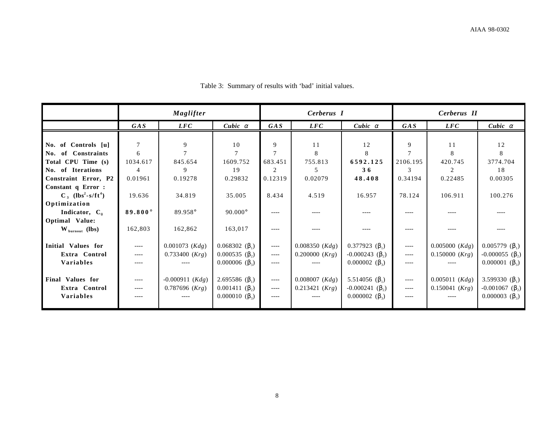|                                              | Maglifter        |                           |                                     | Cerberus I |                  |                                      | Cerberus II |                           |                           |
|----------------------------------------------|------------------|---------------------------|-------------------------------------|------------|------------------|--------------------------------------|-------------|---------------------------|---------------------------|
|                                              | GAS              | LFC                       | Cubic $\alpha$                      | GAS        | LFC              | Cubic $\alpha$                       | GAS         | LFC                       | Cubic $\alpha$            |
|                                              |                  |                           |                                     |            |                  |                                      |             |                           |                           |
| No. of Controls [u]                          | $\tau$           | 9                         | 10                                  | 9          | 11               | 12                                   | 9           | 11                        | 12                        |
| No. of Constraints                           | 6                |                           | 7                                   | 7          | 8                | 8                                    |             | 8                         | 8                         |
| Total CPU Time (s)                           | 1034.617         | 845.654                   | 1609.752                            | 683.451    | 755.813          | 6592.125                             | 2106.195    | 420.745                   | 3774.704                  |
| No. of Iterations                            | 4                | 9                         | 19                                  | 2          | 5                | 36                                   | 3           | 2                         | 18                        |
| Constraint Error, P2                         | 0.01961          | 0.19278                   | 0.29832                             | 0.12319    | 0.02079          | 48.408                               | 0.34194     | 0.22485                   | 0.00305                   |
| Constant q Error:                            |                  |                           |                                     |            |                  |                                      |             |                           |                           |
| $C_3$ (lbs <sup>2</sup> -s/ft <sup>4</sup> ) | 19.636           | 34.819                    | 35.005                              | 8.434      | 4.519            | 16.957                               | 78.124      | 106.911                   | 100.276                   |
| Optimization                                 |                  |                           |                                     |            |                  |                                      |             |                           |                           |
| Indicator, $C_{\theta}$                      | $89.800^{\circ}$ | 89.958°                   | $90.000^{\circ}$                    | ----       |                  |                                      |             |                           |                           |
| <b>Optimal Value:</b>                        |                  |                           |                                     |            |                  |                                      |             |                           |                           |
| $W_{\text{burnout}}$ (lbs)                   | 162,803          | 162,862                   | 163,017                             | ----       | $--- -$          | ----                                 |             |                           |                           |
|                                              |                  |                           |                                     |            |                  |                                      |             |                           |                           |
| Initial Values for                           | $--- -$          | $0.001073$ (Kdg)          | 0.068302 $(\beta_1)$                | $--- -$    | $0.008350$ (Kdg) | 0.377923 $(\beta_1)$                 | $--- -$     | 0.005000~(Kdg)            | 0.005779 $(\beta_1)$      |
| Extra Control                                | $---$            | $0.733400$ (Krg)          | $0.000535$ ( $\beta$ <sub>2</sub> ) | $---$      | 0.200000~(Krg)   | $-0.000243$ ( $\beta_2$ )            | $--- -$     | $0.150000$ $(Krg)$        | $-0.000055$ ( $\beta_2$ ) |
| Variables                                    | ----             |                           | 0.000006 $(\beta_3)$                | $--- -$    |                  | 0.000002 $(\beta_3)$                 | $--- -$     |                           | 0.000001 $(\beta_3)$      |
|                                              |                  |                           |                                     |            |                  |                                      |             |                           |                           |
| <b>Final Values for</b>                      | $--- -$          | $-0.000911$ (Kdg)         | 2.695586 $(\beta_1)$                | $--- -$    | 0.008007~(Kdg)   | 5.514056 $(\beta_1)$                 | $--- -$     | 0.005011 (Kdg)            | 3.599330 $(\beta_1)$      |
| Extra Control                                | $---$            | $0.787696$ ( <i>Krg</i> ) | $0.001411$ ( $\beta_2$ )            | $---$      | $0.213421$ (Krg) | $-0.000241$ ( $\beta$ <sub>2</sub> ) | $--- -$     | $0.150041$ ( <i>Krg</i> ) | $-0.001067$ ( $\beta_2$ ) |
| Variables                                    | ----             | $--- -$                   | 0.000010 $(\beta_3)$                | $--- -$    |                  | 0.000002 $(\beta_3)$                 | $--- -$     |                           | 0.000003 $(\beta_3)$      |
|                                              |                  |                           |                                     |            |                  |                                      |             |                           |                           |

Table 3: Summary of results with 'bad' initial values.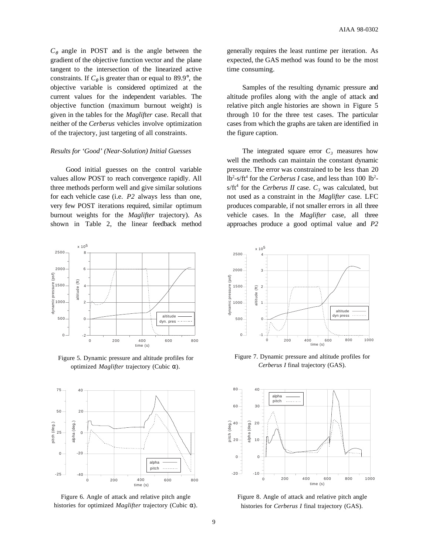$C_{\theta}$  angle in POST and is the angle between the gradient of the objective function vector and the plane tangent to the intersection of the linearized active constraints. If  $C_{\theta}$  is greater than or equal to 89.9°, the objective variable is considered optimized at the current values for the independent variables. The objective function (maximum burnout weight) is given in the tables for the *Maglifter* case. Recall that neither of the *Cerberus* vehicles involve optimization of the trajectory, just targeting of all constraints.

#### *Results for 'Good' (Near-Solution) Initial Guesses*

Good initial guesses on the control variable values allow POST to reach convergence rapidly. All three methods perform well and give similar solutions for each vehicle case (i.e. *P2* always less than one, very few POST iterations required, similar optimum burnout weights for the *Maglifter* trajectory). As shown in Table 2, the linear feedback method



Samples of the resulting dynamic pressure and altitude profiles along with the angle of attack and relative pitch angle histories are shown in Figure 5 through 10 for the three test cases. The particular cases from which the graphs are taken are identified in the figure caption.

The integrated square error  $C_3$  measures how well the methods can maintain the constant dynamic pressure. The error was constrained to be less than 20  $1b^2$ -s/ft<sup>4</sup> for the *Cerberus I* case, and less than 100  $1b^2$  $s/ft<sup>4</sup>$  for the *Cerberus II* case.  $C_3$  was calculated, but not used as a constraint in the *Maglifter* case. LFC produces comparable, if not smaller errors in all three vehicle cases. In the *Maglifter* case, all three approaches produce a good optimal value and *P2*



Figure 5. Dynamic pressure and altitude profiles for optimized *Maglifter* trajectory (Cubic α).



Figure 6. Angle of attack and relative pitch angle histories for optimized *Maglifter* trajectory (Cubic α).



Figure 7. Dynamic pressure and altitude profiles for *Cerberus I* final trajectory (GAS).



Figure 8. Angle of attack and relative pitch angle histories for *Cerberus I* final trajectory (GAS).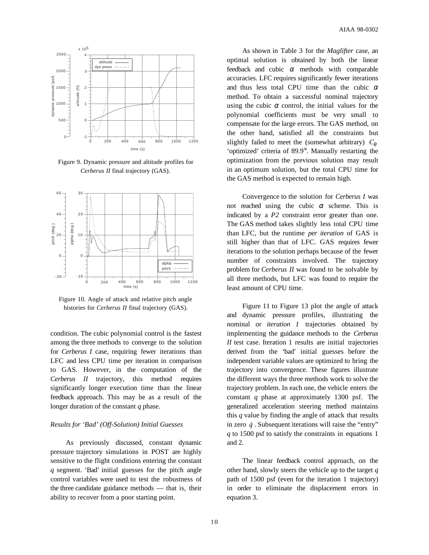

Figure 9. Dynamic pressure and altitude profiles for *Cerberus II* final trajectory (GAS).



Figure 10. Angle of attack and relative pitch angle histories for *Cerberus II* final trajectory (GAS).

condition. The cubic polynomial control is the fastest among the three methods to converge to the solution for *Cerberus I* case, requiring fewer iterations than LFC and less CPU time per iteration in comparison to GAS. However, in the computation of the *Cerberus II* trajectory, this method requires significantly longer execution time than the linear feedback approach. This may be as a result of the longer duration of the constant *q* phase.

#### *Results for 'Bad' (Off-Solution) Initial Guesses*

As previously discussed, constant dynamic pressure trajectory simulations in POST are highly sensitive to the flight conditions entering the constant *q* segment. 'Bad' initial guesses for the pitch angle control variables were used to test the robustness of the three candidate guidance methods — that is, their ability to recover from a poor starting point.

As shown in Table 3 for the *Maglifter* case, an optimal solution is obtained by both the linear feedback and cubic  $\alpha$  methods with comparable accuracies. LFC requires significantly fewer iterations and thus less total CPU time than the cubic  $\alpha$ method. To obtain a successful nominal trajectory using the cubic  $\alpha$  control, the initial values for the polynomial coefficients must be very small to compensate for the large errors. The GAS method, on the other hand, satisfied all the constraints but slightly failed to meet the (somewhat arbitrary)  $C_{\theta}$ 'optimized' criteria of 89.9°. Manually restarting the optimization from the previous solution may result in an optimum solution, but the total CPU time for the GAS method is expected to remain high.

Convergence to the solution for *Cerberus I* was not reached using the cubic  $\alpha$  scheme. This is indicated by a *P2* constraint error greater than one. The GAS method takes slightly less total CPU time than LFC, but the runtime *per iteration* of GAS is still higher than that of LFC. GAS requires fewer iterations to the solution perhaps because of the fewer number of constraints involved. The trajectory problem for *Cerberus II* was found to be solvable by all three methods, but LFC was found to require the least amount of CPU time.

Figure 11 to Figure 13 plot the angle of attack and dynamic pressure profiles, illustrating the nominal or *iteration 1* trajectories obtained by implementing the guidance methods to the *Cerberus II* test case. Iteration 1 results are initial trajectories derived from the 'bad' initial guesses before the independent variable values are optimized to bring the trajectory into convergence. These figures illustrate the different ways the three methods work to solve the trajectory problem. In each one, the vehicle enters the constant *q* phase at approximately 1300 psf. The generalized acceleration steering method maintains this *q* value by finding the angle of attack that results in zero  $\dot{q}$ . Subsequent iterations will raise the "entry" *q* to 1500 psf to satisfy the constraints in equations 1 and 2.

The linear feedback control approach, on the other hand, slowly steers the vehicle up to the target *q* path of 1500 psf (even for the iteration 1 trajectory) in order to eliminate the displacement errors in equation 3.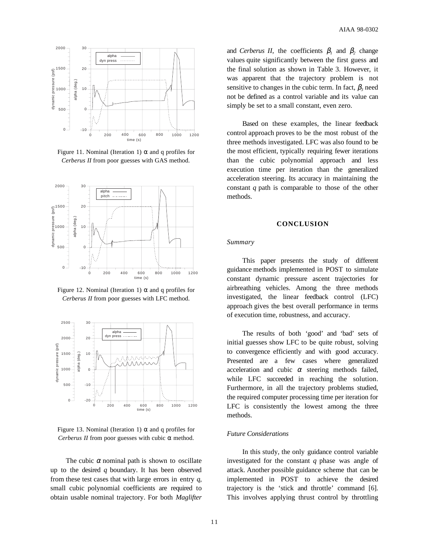

Figure 11. Nominal (Iteration 1)  $\alpha$  and q profiles for *Cerberus II* from poor guesses with GAS method.



Figure 12. Nominal (Iteration 1)  $\alpha$  and q profiles for *Cerberus II* from poor guesses with LFC method.



Figure 13. Nominal (Iteration 1)  $\alpha$  and q profiles for *Cerberus II* from poor guesses with cubic  $\alpha$  method.

The cubic  $\alpha$  nominal path is shown to oscillate up to the desired *q* boundary. It has been observed from these test cases that with large errors in entry *q*, small cubic polynomial coefficients are required to obtain usable nominal trajectory. For both *Maglifter* and *Cerberus II*, the coefficients  $\beta_1$  and  $\beta_2$  change values quite significantly between the first guess and the final solution as shown in Table 3. However, it was apparent that the trajectory problem is not sensitive to changes in the cubic term. In fact,  $\beta_3$  need not be defined as a control variable and its value can simply be set to a small constant, even zero.

Based on these examples, the linear feedback control approach proves to be the most robust of the three methods investigated. LFC was also found to be the most efficient, typically requiring fewer iterations than the cubic polynomial approach and less execution time per iteration than the generalized acceleration steering. Its accuracy in maintaining the constant *q* path is comparable to those of the other methods.

#### **CONCLUSION**

#### *Summary*

This paper presents the study of different guidance methods implemented in POST to simulate constant dynamic pressure ascent trajectories for airbreathing vehicles. Among the three methods investigated, the linear feedback control (LFC) approach gives the best overall performance in terms of execution time, robustness, and accuracy.

The results of both 'good' and 'bad' sets of initial guesses show LFC to be quite robust, solving to convergence efficiently and with good accuracy. Presented are a few cases where generalized acceleration and cubic  $\alpha$  steering methods failed, while LFC succeeded in reaching the solution. Furthermore, in all the trajectory problems studied, the required computer processing time per iteration for LFC is consistently the lowest among the three methods.

#### *Future Considerations*

In this study, the only guidance control variable investigated for the constant *q* phase was angle of attack. Another possible guidance scheme that can be implemented in POST to achieve the desired trajectory is the 'stick and throttle' command [6]. This involves applying thrust control by throttling